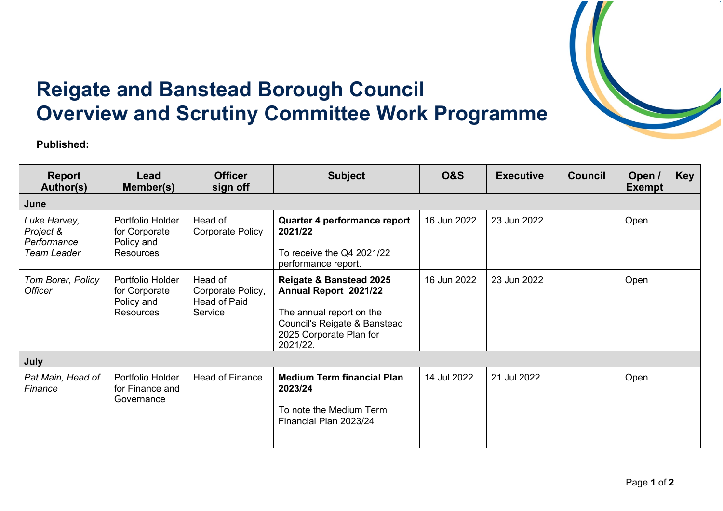

## **Reigate and Banstead Borough Council Overview and Scrutiny Committee Work Programme**

**Published:**

| <b>Report</b><br>Author(s)                                     | Lead<br>Member(s)                                                   | <b>Officer</b><br>sign off                                     | <b>Subject</b>                                                                                                                                                 | <b>O&amp;S</b> | <b>Executive</b> | <b>Council</b> | Open /<br><b>Exempt</b> | <b>Key</b> |  |  |
|----------------------------------------------------------------|---------------------------------------------------------------------|----------------------------------------------------------------|----------------------------------------------------------------------------------------------------------------------------------------------------------------|----------------|------------------|----------------|-------------------------|------------|--|--|
| June                                                           |                                                                     |                                                                |                                                                                                                                                                |                |                  |                |                         |            |  |  |
| Luke Harvey,<br>Project &<br>Performance<br><b>Team Leader</b> | Portfolio Holder<br>for Corporate<br>Policy and<br><b>Resources</b> | Head of<br><b>Corporate Policy</b>                             | Quarter 4 performance report<br>2021/22<br>To receive the Q4 2021/22<br>performance report.                                                                    | 16 Jun 2022    | 23 Jun 2022      |                | Open                    |            |  |  |
| Tom Borer, Policy<br><b>Officer</b>                            | Portfolio Holder<br>for Corporate<br>Policy and<br><b>Resources</b> | Head of<br>Corporate Policy,<br><b>Head of Paid</b><br>Service | <b>Reigate &amp; Banstead 2025</b><br>Annual Report 2021/22<br>The annual report on the<br>Council's Reigate & Banstead<br>2025 Corporate Plan for<br>2021/22. | 16 Jun 2022    | 23 Jun 2022      |                | Open                    |            |  |  |
| July                                                           |                                                                     |                                                                |                                                                                                                                                                |                |                  |                |                         |            |  |  |
| Pat Main, Head of<br>Finance                                   | Portfolio Holder<br>for Finance and<br>Governance                   | <b>Head of Finance</b>                                         | <b>Medium Term financial Plan</b><br>2023/24<br>To note the Medium Term<br>Financial Plan 2023/24                                                              | 14 Jul 2022    | 21 Jul 2022      |                | Open                    |            |  |  |